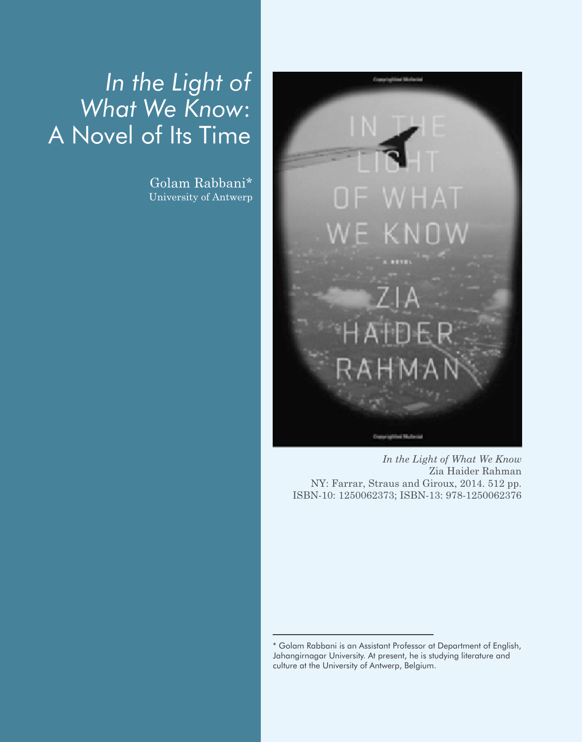## *In the Light of What We Know*: A Novel of Its Time

Golam Rabbani\* University of Antwerp



*In the Light of What We Know* Zia Haider Rahman NY: Farrar, Straus and Giroux, 2014. 512 pp. ISBN-10: 1250062373; ISBN-13: 978-1250062376

<sup>\*</sup> Golam Rabbani is an Assistant Professor at Department of English, Jahangirnagar University. At present, he is studying literature and culture at the University of Antwerp, Belgium.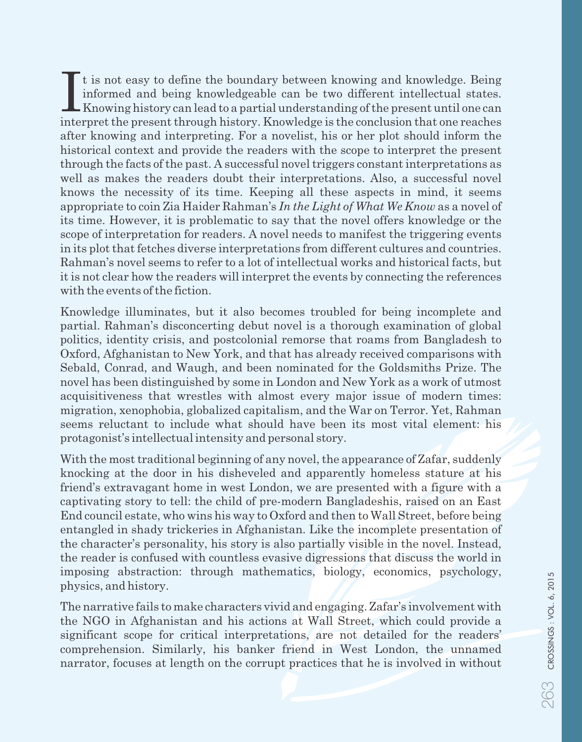It is not easy to define the boundary between knowing and knowledge. Being<br>informed and being knowledgeable can be two different intellectual states.<br>Knowing history can lead to a partial understanding of the present until interpret the present through history. Knowledge is the conclusion that one reaches after knowing and interpreting. For a novelist, his or her plot should inform the historical context and provide the readers with the scope to interpret the present through the facts of the past. A successful novel triggers constant interpretations as well as makes the readers doubt their interpretations. Also, a successful novel knows the necessity of its time. Keeping all these aspects in mind, it seems appropriate to coin Zia Haider Rahman's *In the Light of What We Know* as a novel of its time. However, it is problematic to say that the novel offers knowledge or the scope of interpretation for readers. A novel needs to manifest the triggering events in its plot that fetches diverse interpretations from different cultures and countries. Rahman's novel seems to refer to a lot of intellectual works and historical facts, but it is not clear how the readers will interpret the events by connecting the references with the events of the fiction.

Knowledge illuminates, but it also becomes troubled for being incomplete and partial. Rahman's disconcerting debut novel is a thorough examination of global politics, identity crisis, and postcolonial remorse that roams from Bangladesh to Oxford, Afghanistan to New York, and that has already received comparisons with Sebald, Conrad, and Waugh, and been nominated for the Goldsmiths Prize. The novel has been distinguished by some in London and New York as a work of utmost acquisitiveness that wrestles with almost every major issue of modern times: migration, xenophobia, globalized capitalism, and the War on Terror. Yet, Rahman seems reluctant to include what should have been its most vital element: his protagonist's intellectual intensity and personal story.

With the most traditional beginning of any novel, the appearance of Zafar, suddenly knocking at the door in his disheveled and apparently homeless stature at his friend's extravagant home in west London, we are presented with a figure with a captivating story to tell: the child of pre-modern Bangladeshis, raised on an East End council estate, who wins his way to Oxford and then to Wall Street, before being entangled in shady trickeries in Afghanistan. Like the incomplete presentation of the character's personality, his story is also partially visible in the novel. Instead, the reader is confused with countless evasive digressions that discuss the world in imposing abstraction: through mathematics, biology, economics, psychology, physics, and history.

The narrative fails to make characters vivid and engaging. Zafar's involvement with the NGO in Afghanistan and his actions at Wall Street, which could provide a significant scope for critical interpretations, are not detailed for the readers' comprehension. Similarly, his banker friend in West London, the unnamed narrator, focuses at length on the corrupt practices that he is involved in without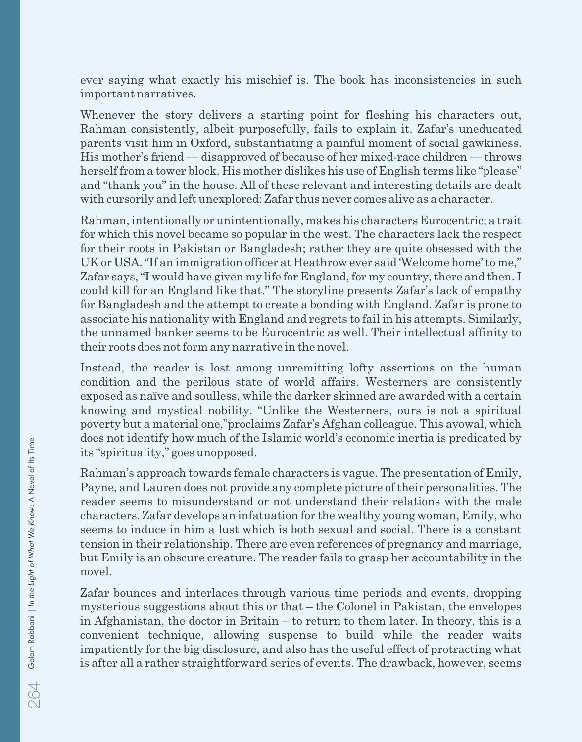ever saying what exactly his mischief is. The book has inconsistencies in such important narratives.

Whenever the story delivers a starting point for fleshing his characters out, Rahman consistently, albeit purposefully, fails to explain it. Zafar's uneducated parents visit him in Oxford, substantiating a painful moment of social gawkiness. His mother's friend — disapproved of because of her mixed-race children — throws herself from a tower block. His mother dislikes his use of English terms like "please" and "thank you" in the house. All of these relevant and interesting details are dealt with cursorily and left unexplored: Zafar thus never comes alive as a character.

Rahman, intentionally or unintentionally, makes his characters Eurocentric; a trait for which this novel became so popular in the west. The characters lack the respect for their roots in Pakistan or Bangladesh; rather they are quite obsessed with the UK or USA. "If an immigration officer at Heathrow ever said 'Welcome home' to me," Zafar says, "I would have given my life for England, for my country, there and then. I could kill for an England like that." The storyline presents Zafar's lack of empathy for Bangladesh and the attempt to create a bonding with England. Zafar is prone to associate his nationality with England and regrets to fail in his attempts. Similarly, the unnamed banker seems to be Eurocentric as well. Their intellectual affinity to their roots does not form any narrative in the novel.

Instead, the reader is lost among unremitting lofty assertions on the human condition and the perilous state of world affairs. Westerners are consistently exposed as naïve and soulless, while the darker skinned are awarded with a certain knowing and mystical nobility. "Unlike the Westerners, ours is not a spiritual poverty but a material one,"proclaims Zafar's Afghan colleague. This avowal, which does not identify how much of the Islamic world's economic inertia is predicated by its "spirituality," goes unopposed.

Rahman's approach towards female characters is vague. The presentation of Emily, Payne, and Lauren does not provide any complete picture of their personalities. The reader seems to misunderstand or not understand their relations with the male characters. Zafar develops an infatuation for the wealthy young woman, Emily, who seems to induce in him a lust which is both sexual and social. There is a constant tension in their relationship. There are even references of pregnancy and marriage, but Emily is an obscure creature. The reader fails to grasp her accountability in the novel.

Zafar bounces and interlaces through various time periods and events, dropping mysterious suggestions about this or that – the Colonel in Pakistan, the envelopes in Afghanistan, the doctor in Britain – to return to them later. In theory, this is a convenient technique, allowing suspense to build while the reader waits impatiently for the big disclosure, and also has the useful effect of protracting what is after all a rather straightforward series of events. The drawback, however, seems